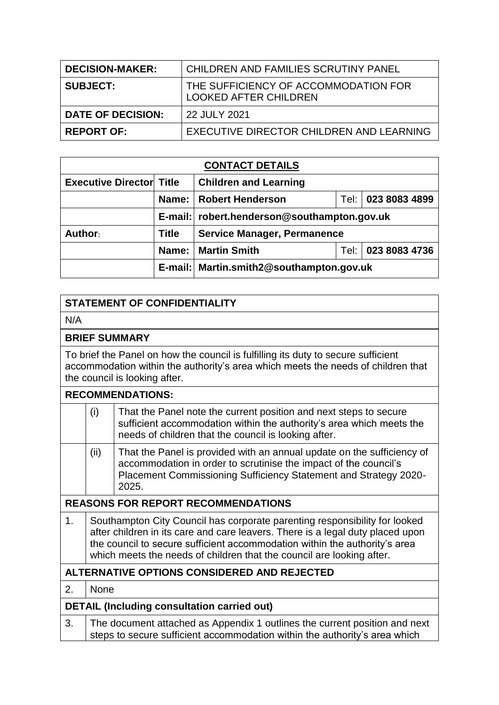| <b>DECISION-MAKER:</b>   | CHILDREN AND FAMILIES SCRUTINY PANEL                                 |
|--------------------------|----------------------------------------------------------------------|
| <b>SUBJECT:</b>          | THE SUFFICIENCY OF ACCOMMODATION FOR<br><b>LOOKED AFTER CHILDREN</b> |
| <b>DATE OF DECISION:</b> | 22 JULY 2021                                                         |
| <b>REPORT OF:</b>        | EXECUTIVE DIRECTOR CHILDREN AND LEARNING                             |

| <b>CONTACT DETAILS</b>          |              |                                               |      |               |
|---------------------------------|--------------|-----------------------------------------------|------|---------------|
| <b>Executive Director Title</b> |              | <b>Children and Learning</b>                  |      |               |
|                                 | Name:        | <b>Robert Henderson</b>                       | Tel: | 023 8083 4899 |
|                                 |              | E-mail:   robert.henderson@southampton.gov.uk |      |               |
| Author:                         | <b>Title</b> | <b>Service Manager, Permanence</b>            |      |               |
|                                 | Name:        | <b>Martin Smith</b>                           | Tel: | 023 8083 4736 |
|                                 |              | E-mail: Martin.smith2@southampton.gov.uk      |      |               |

# **STATEMENT OF CONFIDENTIALITY**

N/A

## **BRIEF SUMMARY**

To brief the Panel on how the council is fulfilling its duty to secure sufficient accommodation within the authority's area which meets the needs of children that the council is looking after.

|                                           |                                                                                                                                                                                                                                                                                                                     | <b>RECOMMENDATIONS:</b>                                                                                                                                                                                                 |
|-------------------------------------------|---------------------------------------------------------------------------------------------------------------------------------------------------------------------------------------------------------------------------------------------------------------------------------------------------------------------|-------------------------------------------------------------------------------------------------------------------------------------------------------------------------------------------------------------------------|
|                                           | (i)                                                                                                                                                                                                                                                                                                                 | That the Panel note the current position and next steps to secure<br>sufficient accommodation within the authority's area which meets the<br>needs of children that the council is looking after.                       |
|                                           | (ii)                                                                                                                                                                                                                                                                                                                | That the Panel is provided with an annual update on the sufficiency of<br>accommodation in order to scrutinise the impact of the council's<br>Placement Commissioning Sufficiency Statement and Strategy 2020-<br>2025. |
| <b>REASONS FOR REPORT RECOMMENDATIONS</b> |                                                                                                                                                                                                                                                                                                                     |                                                                                                                                                                                                                         |
| 1.                                        | Southampton City Council has corporate parenting responsibility for looked<br>after children in its care and care leavers. There is a legal duty placed upon<br>the council to secure sufficient accommodation within the authority's area<br>which meets the needs of children that the council are looking after. |                                                                                                                                                                                                                         |
|                                           |                                                                                                                                                                                                                                                                                                                     | ALTERNATIVE OPTIONS CONSIDERED AND REJECTED                                                                                                                                                                             |
| 2.                                        | <b>None</b>                                                                                                                                                                                                                                                                                                         |                                                                                                                                                                                                                         |
|                                           |                                                                                                                                                                                                                                                                                                                     | <b>DETAIL (Including consultation carried out)</b>                                                                                                                                                                      |
| 3.                                        |                                                                                                                                                                                                                                                                                                                     | The document attached as Appendix 1 outlines the current position and next<br>steps to secure sufficient accommodation within the authority's area which                                                                |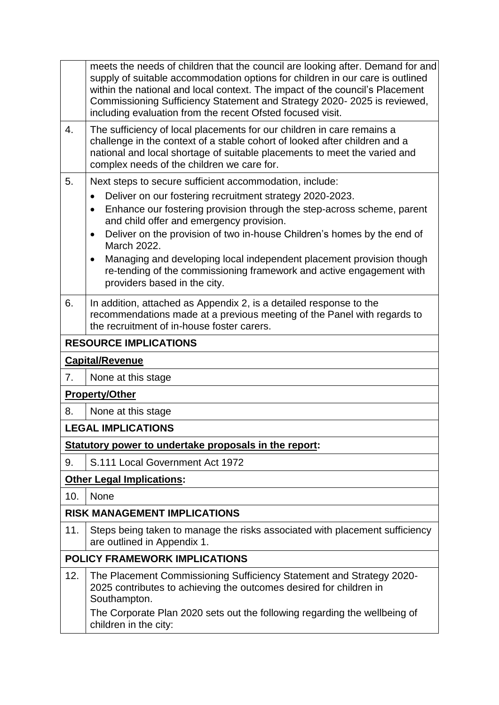|     | meets the needs of children that the council are looking after. Demand for and<br>supply of suitable accommodation options for children in our care is outlined<br>within the national and local context. The impact of the council's Placement<br>Commissioning Sufficiency Statement and Strategy 2020-2025 is reviewed,<br>including evaluation from the recent Ofsted focused visit. |
|-----|------------------------------------------------------------------------------------------------------------------------------------------------------------------------------------------------------------------------------------------------------------------------------------------------------------------------------------------------------------------------------------------|
| 4.  | The sufficiency of local placements for our children in care remains a<br>challenge in the context of a stable cohort of looked after children and a<br>national and local shortage of suitable placements to meet the varied and<br>complex needs of the children we care for.                                                                                                          |
| 5.  | Next steps to secure sufficient accommodation, include:                                                                                                                                                                                                                                                                                                                                  |
|     | Deliver on our fostering recruitment strategy 2020-2023.<br>$\bullet$<br>Enhance our fostering provision through the step-across scheme, parent<br>$\bullet$<br>and child offer and emergency provision.<br>Deliver on the provision of two in-house Children's homes by the end of<br>$\bullet$                                                                                         |
|     | March 2022.<br>Managing and developing local independent placement provision though<br>$\bullet$<br>re-tending of the commissioning framework and active engagement with<br>providers based in the city.                                                                                                                                                                                 |
| 6.  | In addition, attached as Appendix 2, is a detailed response to the<br>recommendations made at a previous meeting of the Panel with regards to<br>the recruitment of in-house foster carers.                                                                                                                                                                                              |
|     | <b>RESOURCE IMPLICATIONS</b>                                                                                                                                                                                                                                                                                                                                                             |
|     | <b>Capital/Revenue</b>                                                                                                                                                                                                                                                                                                                                                                   |
| 7.  | None at this stage                                                                                                                                                                                                                                                                                                                                                                       |
|     | <b>Property/Other</b>                                                                                                                                                                                                                                                                                                                                                                    |
| 8.  | None at this stage                                                                                                                                                                                                                                                                                                                                                                       |
|     | <b>LEGAL IMPLICATIONS</b>                                                                                                                                                                                                                                                                                                                                                                |
|     | Statutory power to undertake proposals in the report:                                                                                                                                                                                                                                                                                                                                    |
| 9.  | S.111 Local Government Act 1972                                                                                                                                                                                                                                                                                                                                                          |
|     | <b>Other Legal Implications:</b>                                                                                                                                                                                                                                                                                                                                                         |
| 10. | None                                                                                                                                                                                                                                                                                                                                                                                     |
|     | <b>RISK MANAGEMENT IMPLICATIONS</b>                                                                                                                                                                                                                                                                                                                                                      |
| 11. | Steps being taken to manage the risks associated with placement sufficiency<br>are outlined in Appendix 1.                                                                                                                                                                                                                                                                               |
|     | <b>POLICY FRAMEWORK IMPLICATIONS</b>                                                                                                                                                                                                                                                                                                                                                     |
| 12. | The Placement Commissioning Sufficiency Statement and Strategy 2020-<br>2025 contributes to achieving the outcomes desired for children in<br>Southampton.<br>The Corporate Plan 2020 sets out the following regarding the wellbeing of<br>children in the city:                                                                                                                         |